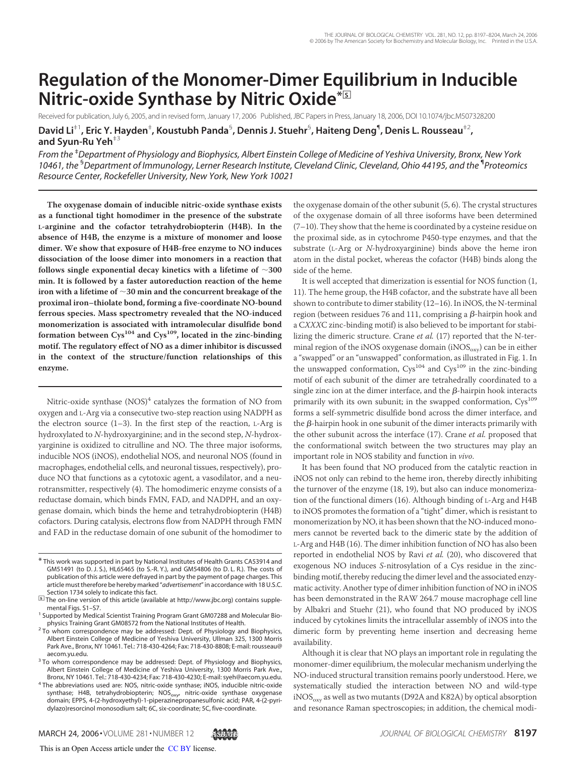# **Regulation of the Monomer-Dimer Equilibrium in Inducible Nitric-oxide Synthase by Nitric Oxide\***□**<sup>S</sup>**

Received for publication, July 6, 2005, and in revised form, January 17, 2006 Published, JBC Papers in Press, January 18, 2006, DOI 10.1074/jbc.M507328200

David Li<sup>‡1</sup>, Eric Y. Hayden<sup>‡</sup>, Koustubh Panda<sup>§</sup>, Dennis J. Stuehr<sup>§</sup>, Haiteng Deng<sup>¶</sup>, Denis L. Rousseau<sup>‡2</sup>, **and Syun-Ru Yeh**‡3

*From the* ‡*Department of Physiology and Biophysics, Albert Einstein College of Medicine of Yeshiva University, Bronx, New York 10461, the* §*Department of Immunology, Lerner Research Institute, Cleveland Clinic, Cleveland, Ohio 44195, and the* ¶ *Proteomics Resource Center, Rockefeller University, New York, New York 10021*

**The oxygenase domain of inducible nitric-oxide synthase exists as a functional tight homodimer in the presence of the substrate L-arginine and the cofactor tetrahydrobiopterin (H4B). In the absence of H4B, the enzyme is a mixture of monomer and loose dimer. We show that exposure of H4B-free enzyme to NO induces dissociation of the loose dimer into monomers in a reaction that follows single exponential decay kinetics with a lifetime of 300 min. It is followed by a faster autoreduction reaction of the heme iron with a lifetime of 30 min and the concurrent breakage of the proximal iron–thiolate bond, forming a five-coordinate NO-bound ferrous species. Mass spectrometry revealed that the NO-induced monomerization is associated with intramolecular disulfide bond formation between Cys<sup>104</sup> and Cys109, located in the zinc-binding motif. The regulatory effect of NO as a dimer inhibitor is discussed in the context of the structure/function relationships of this enzyme.**

Nitric-oxide synthase (NOS)<sup>4</sup> catalyzes the formation of NO from oxygen and L-Arg via a consecutive two-step reaction using NADPH as the electron source  $(1-3)$ . In the first step of the reaction, L-Arg is hydroxylated to N-hydroxyarginine; and in the second step, N-hydroxyarginine is oxidized to citrulline and NO. The three major isoforms, inducible NOS (iNOS), endothelial NOS, and neuronal NOS (found in macrophages, endothelial cells, and neuronal tissues, respectively), produce NO that functions as a cytotoxic agent, a vasodilator, and a neurotransmitter, respectively (4). The homodimeric enzyme consists of a reductase domain, which binds FMN, FAD, and NADPH, and an oxygenase domain, which binds the heme and tetrahydrobiopterin (H4B) cofactors. During catalysis, electrons flow from NADPH through FMN and FAD in the reductase domain of one subunit of the homodimer to

the oxygenase domain of the other subunit (5, 6). The crystal structures of the oxygenase domain of all three isoforms have been determined (7–10). They show that the heme is coordinated by a cysteine residue on the proximal side, as in cytochrome P450-type enzymes, and that the substrate (L-Arg or N-hydroxyarginine) binds above the heme iron atom in the distal pocket, whereas the cofactor (H4B) binds along the side of the heme.

It is well accepted that dimerization is essential for NOS function (1, 11). The heme group, the H4B cofactor, and the substrate have all been shown to contribute to dimer stability (12–16). In iNOS, the N-terminal region (between residues 76 and 111, comprising a  $\beta$ -hairpin hook and a CXXXC zinc-binding motif) is also believed to be important for stabilizing the dimeric structure. Crane et al. (17) reported that the N-terminal region of the iNOS oxygenase domain (iNOS $_{\text{oxv}}$ ) can be in either a "swapped" or an "unswapped" conformation, as illustrated in Fig. 1. In the unswapped conformation,  $Cys^{104}$  and  $Cys^{109}$  in the zinc-binding motif of each subunit of the dimer are tetrahedrally coordinated to a single zinc ion at the dimer interface, and the  $\beta$ -hairpin hook interacts primarily with its own subunit; in the swapped conformation, Cys<sup>109</sup> forms a self-symmetric disulfide bond across the dimer interface, and the  $\beta$ -hairpin hook in one subunit of the dimer interacts primarily with the other subunit across the interface (17). Crane et al. proposed that the conformational switch between the two structures may play an important role in NOS stability and function in vivo.

It has been found that NO produced from the catalytic reaction in iNOS not only can rebind to the heme iron, thereby directly inhibiting the turnover of the enzyme (18, 19), but also can induce monomerization of the functional dimers (16). Although binding of L-Arg and H4B to iNOS promotes the formation of a "tight" dimer, which is resistant to monomerization by NO, it has been shown that the NO-induced monomers cannot be reverted back to the dimeric state by the addition of L-Arg and H4B (16). The dimer inhibition function of NO has also been reported in endothelial NOS by Ravi et al. (20), who discovered that exogenous NO induces S-nitrosylation of a Cys residue in the zincbinding motif, thereby reducing the dimer level and the associated enzymatic activity. Another type of dimer inhibition function of NO in iNOS has been demonstrated in the RAW 264.7 mouse macrophage cell line by Albakri and Stuehr (21), who found that NO produced by iNOS induced by cytokines limits the intracellular assembly of iNOS into the dimeric form by preventing heme insertion and decreasing heme availability.

Although it is clear that NO plays an important role in regulating the monomer-dimer equilibrium, the molecular mechanism underlying the NO-induced structural transition remains poorly understood. Here, we systematically studied the interaction between NO and wild-type  $iNOS<sub>oxy</sub>$  as well as two mutants (D92A and K82A) by optical absorption and resonance Raman spectroscopies; in addition, the chemical modi-

<sup>\*</sup> This work was supported in part by National Institutes of Health Grants CA53914 and GM51491 (to D. J. S.), HL65465 (to S.-R. Y.), and GM54806 (to D. L. R.). The costs of publication of this article were defrayed in part by the payment of page charges. This article must therefore be hereby marked "*advertisement*" in accordance with 18 U.S.C. Section 1734 solely to indicate this fact.

<sup>□</sup>**S** The on-line version of this article (available at http://www.jbc.org) contains supplemental Figs. S1–S7.

<sup>&</sup>lt;sup>1</sup> Supported by Medical Scientist Training Program Grant GM07288 and Molecular Biophysics Training Grant GM08572 from the National Institutes of Health.

<sup>&</sup>lt;sup>2</sup> To whom correspondence may be addressed: Dept. of Physiology and Biophysics, Albert Einstein College of Medicine of Yeshiva University, Ullman 325, 1300 Morris Park Ave., Bronx, NY 10461. Tel.: 718-430-4264; Fax: 718-430-8808; E-mail: rousseau@ aecom.yu.edu.

<sup>&</sup>lt;sup>3</sup> To whom correspondence may be addressed: Dept. of Physiology and Biophysics, Albert Einstein College of Medicine of Yeshiva University, 1300 Morris Park Ave., Bronx, NY 10461. Tel.: 718-430-4234; Fax: 718-430-4230; E-mail: syeh@aecom.yu.edu.

<sup>&</sup>lt;sup>4</sup> The abbreviations used are: NOS, nitric-oxide synthase; iNOS, inducible nitric-oxide synthase; H4B, tetrahydrobiopterin; NOS<sub>oxy</sub>, nitric-oxide synthase oxygenase domain; EPPS, 4-(2-hydroxyethyl)-1-piperazinepropanesulfonic acid; PAR, 4-(2-pyridylazo)resorcinol monosodium salt; 6C, six-coordinate; 5C, five-coordinate.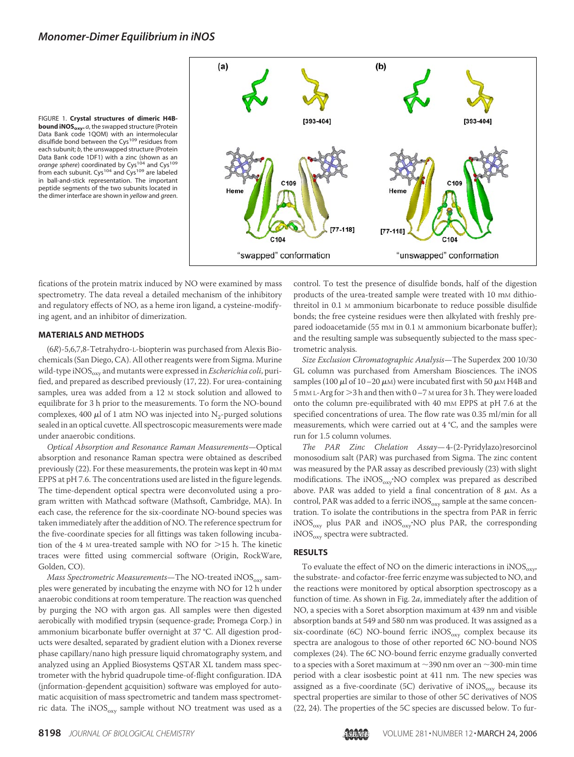FIGURE 1. **Crystal structures of dimeric H4Bbound iNOSoxy.** *a*, the swapped structure (Protein Data Bank code 1QOM) with an intermolecular disulfide bond between the Cys<sup>109</sup> residues from each subunit; *b*, the unswapped structure (Protein Data Bank code 1DF1) with a zinc (shown as an *orange sphere*) coordinated by Cys<sup>104</sup> and Cys<sup>109</sup><br>from each subunit. Cys<sup>104</sup> and Cys<sup>109</sup> are labeled in ball-and-stick representation. The important peptide segments of the two subunits located in the dimer interface are shown in *yellow* and *green*.



fications of the protein matrix induced by NO were examined by mass spectrometry. The data reveal a detailed mechanism of the inhibitory and regulatory effects of NO, as a heme iron ligand, a cysteine-modifying agent, and an inhibitor of dimerization.

### **MATERIALS AND METHODS**

(6R)-5,6,7,8-Tetrahydro-L-biopterin was purchased from Alexis Biochemicals (San Diego, CA). All other reagents were from Sigma. Murine wild-type iNOS<sub>oxy</sub> and mutants were expressed in *Escherichia coli*, purified, and prepared as described previously (17, 22). For urea-containing samples, urea was added from a 12 M stock solution and allowed to equilibrate for 3 h prior to the measurements. To form the NO-bound complexes, 400  $\mu$ l of 1 atm NO was injected into N<sub>2</sub>-purged solutions sealed in an optical cuvette. All spectroscopic measurements were made under anaerobic conditions.

Optical Absorption and Resonance Raman Measurements—Optical absorption and resonance Raman spectra were obtained as described previously (22). For these measurements, the protein was kept in 40 mM EPPS at pH 7.6. The concentrations used are listed in the figure legends. The time-dependent optical spectra were deconvoluted using a program written with Mathcad software (Mathsoft, Cambridge, MA). In each case, the reference for the six-coordinate NO-bound species was taken immediately after the addition of NO. The reference spectrum for the five-coordinate species for all fittings was taken following incubation of the  $4 \text{ M}$  urea-treated sample with NO for  $>$ 15 h. The kinetic traces were fitted using commercial software (Origin, RockWare, Golden, CO).

Mass Spectrometric Measurements-The NO-treated  $iNOS_{ox}$  samples were generated by incubating the enzyme with NO for 12 h under anaerobic conditions at room temperature. The reaction was quenched by purging the NO with argon gas. All samples were then digested aerobically with modified trypsin (sequence-grade; Promega Corp.) in ammonium bicarbonate buffer overnight at 37 °C. All digestion products were desalted, separated by gradient elution with a Dionex reverse phase capillary/nano high pressure liquid chromatography system, and analyzed using an Applied Biosystems QSTAR XL tandem mass spectrometer with the hybrid quadrupole time-of-flight configuration. IDA (information-dependent acquisition) software was employed for automatic acquisition of mass spectrometric and tandem mass spectrometric data. The iNOS<sub>oxy</sub> sample without NO treatment was used as a control. To test the presence of disulfide bonds, half of the digestion products of the urea-treated sample were treated with 10 mm dithiothreitol in 0.1 M ammonium bicarbonate to reduce possible disulfide bonds; the free cysteine residues were then alkylated with freshly prepared iodoacetamide (55 mm in 0.1 m ammonium bicarbonate buffer); and the resulting sample was subsequently subjected to the mass spectrometric analysis.

Size Exclusion Chromatographic Analysis—The Superdex 200 10/30 GL column was purchased from Amersham Biosciences. The iNOS samples (100  $\mu$ l of 10–20  $\mu$ м) were incubated first with 50  $\mu$ м H4B and 5 mM L-Arg for  $>$ 3 h and then with 0 –7 M urea for 3 h. They were loaded onto the column pre-equilibrated with 40 mM EPPS at pH 7.6 at the specified concentrations of urea. The flow rate was 0.35 ml/min for all measurements, which were carried out at 4 °C, and the samples were run for 1.5 column volumes.

The PAR Zinc Chelation Assay—4-(2-Pyridylazo)resorcinol monosodium salt (PAR) was purchased from Sigma. The zinc content was measured by the PAR assay as described previously (23) with slight modifications. The iNOS<sub>oxy</sub> NO complex was prepared as described above. PAR was added to yield a final concentration of 8  $\mu$ m. As a control, PAR was added to a ferric  $NOS<sub>oxv</sub>$  sample at the same concentration. To isolate the contributions in the spectra from PAR in ferric  $\mathrm{iNOS}_{\mathrm{oxy}}$  plus PAR and  $\mathrm{iNOS}_{\mathrm{oxy}}$ ·NO plus PAR, the corresponding  $iNOS<sub>oxv</sub>$  spectra were subtracted.

## **RESULTS**

To evaluate the effect of NO on the dimeric interactions in  $iNOS<sub>oxy</sub>$ , the substrate- and cofactor-free ferric enzyme was subjected to NO, and the reactions were monitored by optical absorption spectroscopy as a function of time. As shown in Fig. 2a, immediately after the addition of NO, a species with a Soret absorption maximum at 439 nm and visible absorption bands at 549 and 580 nm was produced. It was assigned as a six-coordinate (6C) NO-bound ferric  $iNOS_{oxy}$  complex because its spectra are analogous to those of other reported 6C NO-bound NOS complexes (24). The 6C NO-bound ferric enzyme gradually converted to a species with a Soret maximum at  ${\sim}390$  nm over an  ${\sim}300$  min time period with a clear isosbestic point at 411 nm. The new species was assigned as a five-coordinate (5C) derivative of  $iNOS_{oxy}$  because its spectral properties are similar to those of other 5C derivatives of NOS (22, 24). The properties of the 5C species are discussed below. To fur-

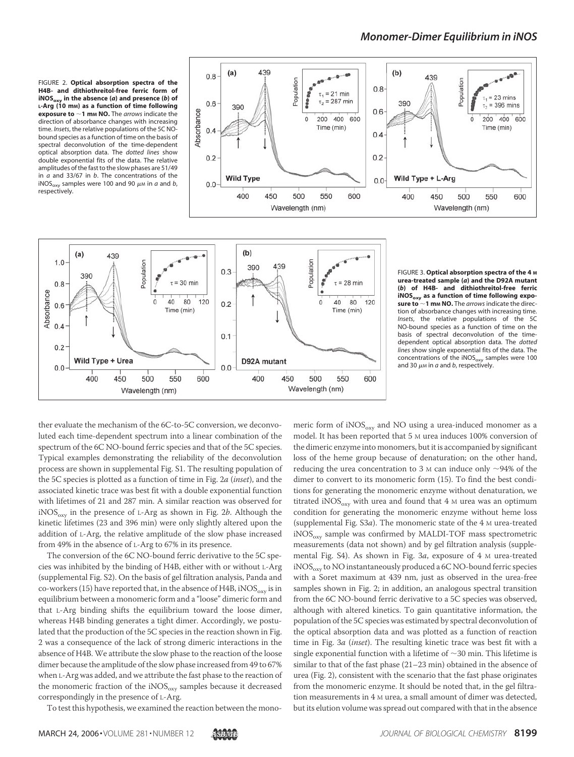FIGURE 2. **Optical absorption spectra of the H4B- and dithiothreitol-free ferric form of iNOSoxy in the absence (***a***) and presence (***b***) of L-Arg (10 mM) as a function of time following exposure to 1 m<sup>M</sup> NO.** The *arrows* indicate the direction of absorbance changes with increasing time. *Insets*, the relative populations of the 5C NObound species as a function of time on the basis of spectral deconvolution of the time-dependent optical absorption data. The *dotted lines* show double exponential fits of the data. The relative amplitudes of the fast to the slow phases are 51/49 in *a* and 33/67 in *b*. The concentrations of the iNOS<sub>oxy</sub> samples were 100 and 90  $\mu$ m in *a* and *b*, respectively.





FIGURE 3. **Optical absorption spectra of the 4 M urea-treated sample (***a***) and the D92A mutant (***b***) of H4B- and dithiothreitol-free ferric iNOSoxy as a function of time following exposure to 1 m<sup>M</sup> NO.** The *arrows* indicate the direction of absorbance changes with increasing time. *Insets*, the relative populations of the 5C NO-bound species as a function of time on the basis of spectral deconvolution of the timedependent optical absorption data. The *dotted lines* show single exponential fits of the data. The concentrations of the iNOS<sub>oxy</sub> samples were 100 and 30  $\mu$ м in *a* and *b*, respectively.

ther evaluate the mechanism of the 6C-to-5C conversion, we deconvoluted each time-dependent spectrum into a linear combination of the spectrum of the 6C NO-bound ferric species and that of the 5C species. Typical examples demonstrating the reliability of the deconvolution process are shown in supplemental Fig. S1. The resulting population of the 5C species is plotted as a function of time in Fig. 2a (inset), and the associated kinetic trace was best fit with a double exponential function with lifetimes of 21 and 287 min. A similar reaction was observed for  $iNOS_{\text{ovV}}$  in the presence of L-Arg as shown in Fig. 2b. Although the kinetic lifetimes (23 and 396 min) were only slightly altered upon the addition of L-Arg, the relative amplitude of the slow phase increased from 49% in the absence of L-Arg to 67% in its presence.

The conversion of the 6C NO-bound ferric derivative to the 5C species was inhibited by the binding of H4B, either with or without L-Arg (supplemental Fig. S2). On the basis of gel filtration analysis, Panda and co-workers (15) have reported that, in the absence of H4B,  $iNOS<sub>oxv</sub>$  is in equilibrium between a monomeric form and a "loose" dimeric form and that L-Arg binding shifts the equilibrium toward the loose dimer, whereas H4B binding generates a tight dimer. Accordingly, we postulated that the production of the 5C species in the reaction shown in Fig. 2 was a consequence of the lack of strong dimeric interactions in the absence of H4B. We attribute the slow phase to the reaction of the loose dimer because the amplitude of the slow phase increased from 49 to 67% when L-Arg was added, and we attribute the fast phase to the reaction of the monomeric fraction of the iNOS $_{\rm oxy}$  samples because it decreased correspondingly in the presence of L-Arg.

To test this hypothesis, we examined the reaction between the mono-

meric form of  $iNOS<sub>oxv</sub>$  and NO using a urea-induced monomer as a model. It has been reported that 5 M urea induces 100% conversion of the dimeric enzyme into monomers, but it is accompanied by significant loss of the heme group because of denaturation; on the other hand, reducing the urea concentration to 3  $\mu$  can induce only  $\sim$ 94% of the dimer to convert to its monomeric form (15). To find the best conditions for generating the monomeric enzyme without denaturation, we titrated iNOS<sub>oxy</sub> with urea and found that 4  $\mu$  urea was an optimum condition for generating the monomeric enzyme without heme loss (supplemental Fig.  $S3a$ ). The monomeric state of the 4 M urea-treated  $iNOS<sub>orv</sub>$  sample was confirmed by MALDI-TOF mass spectrometric measurements (data not shown) and by gel filtration analysis (supplemental Fig. S4). As shown in Fig. 3a, exposure of 4 M urea-treated  $iNOS<sub>oxv</sub>$  to NO instantaneously produced a 6C NO-bound ferric species with a Soret maximum at 439 nm, just as observed in the urea-free samples shown in Fig. 2; in addition, an analogous spectral transition from the 6C NO-bound ferric derivative to a 5C species was observed, although with altered kinetics. To gain quantitative information, the population of the 5C species was estimated by spectral deconvolution of the optical absorption data and was plotted as a function of reaction time in Fig. 3a (inset). The resulting kinetic trace was best fit with a single exponential function with a lifetime of  $\sim$ 30 min. This lifetime is similar to that of the fast phase (21–23 min) obtained in the absence of urea (Fig. 2), consistent with the scenario that the fast phase originates from the monomeric enzyme. It should be noted that, in the gel filtration measurements in 4 M urea, a small amount of dimer was detected, but its elution volume was spread out compared with that in the absence

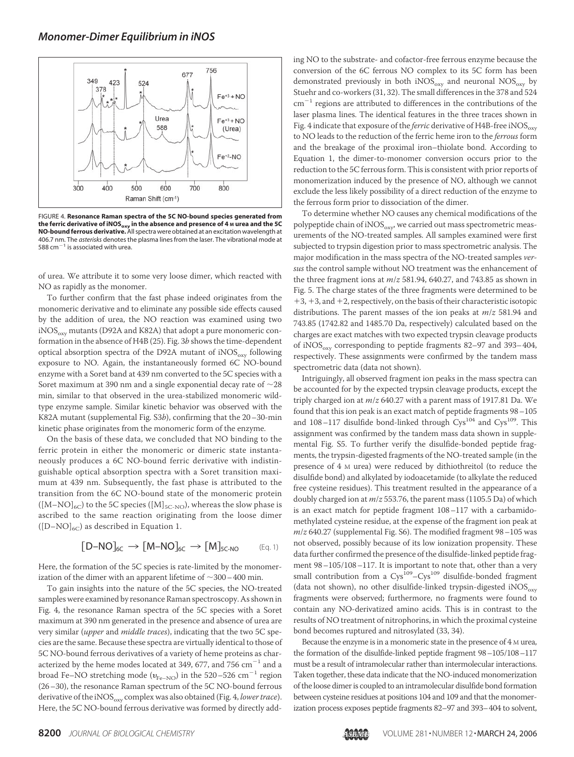

FIGURE 4. **Resonance Raman spectra of the 5C NO-bound species generated from the ferric derivative of iNOSoxy in the absence and presence of 4 <sup>M</sup> urea and the 5C NO-bound ferrous derivative.**All spectra were obtained at an excitation wavelength at 406.7 nm. The *asterisks* denotes the plasma lines from the laser. The vibrational mode at 588 cm $^{-1}$  is associated with urea.

of urea. We attribute it to some very loose dimer, which reacted with NO as rapidly as the monomer.

To further confirm that the fast phase indeed originates from the monomeric derivative and to eliminate any possible side effects caused by the addition of urea, the NO reaction was examined using two  $iNOS<sub>oxy</sub>$  mutants (D92A and K82A) that adopt a pure monomeric conformation in the absence of H4B (25). Fig. 3b shows the time-dependent optical absorption spectra of the D92A mutant of  $iNOS<sub>orx</sub>$  following exposure to NO. Again, the instantaneously formed 6C NO-bound enzyme with a Soret band at 439 nm converted to the 5C species with a Soret maximum at 390 nm and a single exponential decay rate of  $\sim$  28 min, similar to that observed in the urea-stabilized monomeric wildtype enzyme sample. Similar kinetic behavior was observed with the K82A mutant (supplemental Fig. S3b), confirming that the 20–30-min kinetic phase originates from the monomeric form of the enzyme.

On the basis of these data, we concluded that NO binding to the ferric protein in either the monomeric or dimeric state instantaneously produces a 6C NO-bound ferric derivative with indistinguishable optical absorption spectra with a Soret transition maximum at 439 nm. Subsequently, the fast phase is attributed to the transition from the 6C NO-bound state of the monomeric protein  $([M-NO]_{6C})$  to the 5C species  $([M]_{5C-NO})$ , whereas the slow phase is ascribed to the same reaction originating from the loose dimer  $([D-NO]_{6C})$  as described in Equation 1.

$$
[D\text{-}NO]_{6C}\,\to\,[M\text{-}NO]_{6C}\,\to\,[M]_{5C\text{-}NO}\qquad\text{(Eq. 1)}
$$

Here, the formation of the 5C species is rate-limited by the monomerization of the dimer with an apparent lifetime of  $\sim$ 300 – 400 min.

To gain insights into the nature of the 5C species, the NO-treated samples were examined by resonance Raman spectroscopy. As shown in Fig. 4, the resonance Raman spectra of the 5C species with a Soret maximum at 390 nm generated in the presence and absence of urea are very similar (upper and middle traces), indicating that the two 5C species are the same. Because these spectra are virtually identical to those of 5C NO-bound ferrous derivatives of a variety of heme proteins as characterized by the heme modes located at 349, 677, and 756  $\rm cm^{-1}$  and a broad Fe–NO stretching mode  $(v_{\rm Fe-NO})$  in the 520–526 cm<sup>-1</sup> region (26–30), the resonance Raman spectrum of the 5C NO-bound ferrous derivative of the iNOS<sub>oxy</sub> complex was also obtained (Fig. 4, lower trace). Here, the 5C NO-bound ferrous derivative was formed by directly adding NO to the substrate- and cofactor-free ferrous enzyme because the conversion of the 6C ferrous NO complex to its 5C form has been demonstrated previously in both  $iNOS_{oxy}$  and neuronal  $NOS_{oxy}$  by Stuehr and co-workers (31, 32). The small differences in the 378 and 524  $cm^{-1}$  regions are attributed to differences in the contributions of the laser plasma lines. The identical features in the three traces shown in Fig. 4 indicate that exposure of the *ferric* derivative of H4B-free iNOS $_{\rm oxv}$ to NO leads to the reduction of the ferric heme iron to the ferrous form and the breakage of the proximal iron–thiolate bond. According to Equation 1, the dimer-to-monomer conversion occurs prior to the reduction to the 5C ferrous form. This is consistent with prior reports of monomerization induced by the presence of NO, although we cannot exclude the less likely possibility of a direct reduction of the enzyme to the ferrous form prior to dissociation of the dimer.

To determine whether NO causes any chemical modifications of the polypeptide chain of  $iNOS_{oxy}$ , we carried out mass spectrometric measurements of the NO-treated samples. All samples examined were first subjected to trypsin digestion prior to mass spectrometric analysis. The major modification in the mass spectra of the NO-treated samples versus the control sample without NO treatment was the enhancement of the three fragment ions at  $m/z$  581.94, 640.27, and 743.85 as shown in Fig. 5. The charge states of the three fragments were determined to be  $+3$ ,  $+3$ , and  $+2$ , respectively, on the basis of their characteristic isotopic distributions. The parent masses of the ion peaks at  $m/z$  581.94 and 743.85 (1742.82 and 1485.70 Da, respectively) calculated based on the charges are exact matches with two expected trypsin cleavage products of iNOS<sub>oxy</sub> corresponding to peptide fragments 82–97 and 393–404, respectively. These assignments were confirmed by the tandem mass spectrometric data (data not shown).

Intriguingly, all observed fragment ion peaks in the mass spectra can be accounted for by the expected trypsin cleavage products, except the triply charged ion at  $m/z$  640.27 with a parent mass of 1917.81 Da. We found that this ion peak is an exact match of peptide fragments 98–105 and  $108-117$  disulfide bond-linked through  $Cys^{104}$  and  $Cys^{109}$ . This assignment was confirmed by the tandem mass data shown in supplemental Fig. S5. To further verify the disulfide-bonded peptide fragments, the trypsin-digested fragments of the NO-treated sample (in the presence of 4 M urea) were reduced by dithiothreitol (to reduce the disulfide bond) and alkylated by iodoacetamide (to alkylate the reduced free cysteine residues). This treatment resulted in the appearance of a doubly charged ion at  $m/z$  553.76, the parent mass (1105.5 Da) of which is an exact match for peptide fragment 108–117 with a carbamidomethylated cysteine residue, at the expense of the fragment ion peak at  $m/z$  640.27 (supplemental Fig. S6). The modified fragment 98 -105 was not observed, possibly because of its low ionization propensity. These data further confirmed the presence of the disulfide-linked peptide fragment 98–105/108–117. It is important to note that, other than a very small contribution from a Cys<sup>109</sup>-Cys<sup>109</sup> disulfide-bonded fragment (data not shown), no other disulfide-linked trypsin-digested  $iNOS_{\rm oxv}$ fragments were observed; furthermore, no fragments were found to contain any NO-derivatized amino acids. This is in contrast to the results of NO treatment of nitrophorins, in which the proximal cysteine bond becomes ruptured and nitrosylated (33, 34).

Because the enzyme is in a monomeric state in the presence of 4 M urea, the formation of the disulfide-linked peptide fragment 98–105/108–117 must be a result of intramolecular rather than intermolecular interactions. Taken together, these data indicate that the NO-induced monomerization of the loose dimer is coupled to an intramolecular disulfide bond formation between cysteine residues at positions 104 and 109 and that the monomerization process exposes peptide fragments 82–97 and 393–404 to solvent,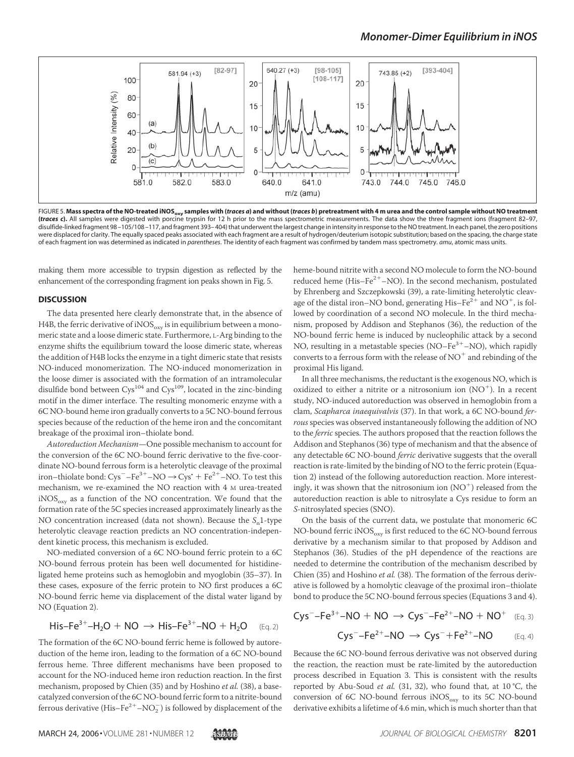## *Monomer-Dimer Equilibrium in iNOS*



FIGURE 5. M<mark>ass spectra of the NO-treated iNOS<sub>oxy</sub> samples with (*traces a*) and without (*traces b*) pretreatment with 4 m urea and the control sample without NO treatment<br>(*traces c*). All samples were digested with por</mark> disulfide-linked fragment 98 –105/108 –117, and fragment 393– 404) that underwent the largest change in intensity in response to the NO treatment. In each panel, the zero positions were displaced for clarity. The equally spaced peaks associated with each fragment are a result of hydrogen/deuterium isotopic substitution; based on the spacing, the charge state of each fragment ion was determined as indicated in *parentheses*. The identity of each fragment was confirmed by tandem mass spectrometry. *amu*, atomic mass units.

making them more accessible to trypsin digestion as reflected by the enhancement of the corresponding fragment ion peaks shown in Fig. 5.

#### **DISCUSSION**

The data presented here clearly demonstrate that, in the absence of H4B, the ferric derivative of iNOS $_{\rm oxy}$  is in equilibrium between a monomeric state and a loose dimeric state. Furthermore, L-Arg binding to the enzyme shifts the equilibrium toward the loose dimeric state, whereas the addition of H4B locks the enzyme in a tight dimeric state that resists NO-induced monomerization. The NO-induced monomerization in the loose dimer is associated with the formation of an intramolecular disulfide bond between  $Cys^{104}$  and  $Cys^{109}$ , located in the zinc-binding motif in the dimer interface. The resulting monomeric enzyme with a 6C NO-bound heme iron gradually converts to a 5C NO-bound ferrous species because of the reduction of the heme iron and the concomitant breakage of the proximal iron–thiolate bond.

Autoreduction Mechanism—One possible mechanism to account for the conversion of the 6C NO-bound ferric derivative to the five-coordinate NO-bound ferrous form is a heterolytic cleavage of the proximal iron–thiolate bond:  $\text{Cys}^-$ – $\text{Fe}^{3+}$ – $\text{NO} \rightarrow \text{Cys}^*$  +  $\text{Fe}^{2+}$ – $\text{NO}$ . To test this mechanism, we re-examined the NO reaction with 4 M urea-treated  $iNOS<sub>oxy</sub>$  as a function of the NO concentration. We found that the formation rate of the 5C species increased approximately linearly as the NO concentration increased (data not shown). Because the  $S_n$ 1-type heterolytic cleavage reaction predicts an NO concentration-independent kinetic process, this mechanism is excluded.

NO-mediated conversion of a 6C NO-bound ferric protein to a 6C NO-bound ferrous protein has been well documented for histidineligated heme proteins such as hemoglobin and myoglobin (35–37). In these cases, exposure of the ferric protein to NO first produces a 6C NO-bound ferric heme via displacement of the distal water ligand by NO (Equation 2).

$$
His-Fe^{3+}-H_2O\,+\,NO\,\rightarrow\, His-Fe^{3+}-NO\,+\,H_2O\quad\quad \ (\text{Eq. 2})
$$

The formation of the 6C NO-bound ferric heme is followed by autoreduction of the heme iron, leading to the formation of a 6C NO-bound ferrous heme. Three different mechanisms have been proposed to account for the NO-induced heme iron reduction reaction. In the first mechanism, proposed by Chien (35) and by Hoshino et al. (38), a basecatalyzed conversion of the 6C NO-bound ferric form to a nitrite-bound ferrous derivative  $(\text{His-Fe}^{2+}{-}\text{NO}_2^-)$  is followed by displacement of the

heme-bound nitrite with a second NO molecule to form the NO-bound reduced heme (His–Fe<sup>2+</sup>–NO). In the second mechanism, postulated by Ehrenberg and Szczepkowski (39), a rate-limiting heterolytic cleavage of the distal iron–NO bond, generating His–Fe<sup>2+</sup> and NO<sup>+</sup>, is followed by coordination of a second NO molecule. In the third mechanism, proposed by Addison and Stephanos (36), the reduction of the NO-bound ferric heme is induced by nucleophilic attack by a second NO, resulting in a metastable species (NO-Fe<sup>3+</sup>-NO), which rapidly converts to a ferrous form with the release of  $NO<sup>+</sup>$  and rebinding of the proximal His ligand.

In all three mechanisms, the reductant is the exogenous NO, which is oxidized to either a nitrite or a nitrosonium ion (NO ). In a recent study, NO-induced autoreduction was observed in hemoglobin from a clam, Scapharca inaequivalvis (37). In that work, a 6C NO-bound ferrous species was observed instantaneously following the addition of NO to the ferric species. The authors proposed that the reaction follows the Addison and Stephanos (36) type of mechanism and that the absence of any detectable 6C NO-bound ferric derivative suggests that the overall reaction is rate-limited by the binding of NO to the ferric protein (Equation 2) instead of the following autoreduction reaction. More interestingly, it was shown that the nitrosonium ion  $(NO<sup>+</sup>)$  released from the autoreduction reaction is able to nitrosylate a Cys residue to form an S-nitrosylated species (SNO).

On the basis of the current data, we postulate that monomeric 6C NO-bound ferric  $iNOS_{oxy}$  is first reduced to the 6C NO-bound ferrous derivative by a mechanism similar to that proposed by Addison and Stephanos (36). Studies of the pH dependence of the reactions are needed to determine the contribution of the mechanism described by Chien (35) and Hoshino et al. (38). The formation of the ferrous derivative is followed by a homolytic cleavage of the proximal iron–thiolate bond to produce the 5C NO-bound ferrous species (Equations 3 and 4).

$$
Cys^- - Fe^{3+} - NO + NO \rightarrow Cys^- - Fe^{2+} - NO + NO^+
$$
 (Eq. 3)  
\n $Cys^- - Fe^{2+} - NO \rightarrow Cys^- + Fe^{2+} - NO$  (Eq. 4)

Because the 6C NO-bound ferrous derivative was not observed during the reaction, the reaction must be rate-limited by the autoreduction process described in Equation 3. This is consistent with the results reported by Abu-Soud et al. (31, 32), who found that, at 10 °C, the conversion of 6C NO-bound ferrous  $iNOS_{oxy}$  to its 5C NO-bound derivative exhibits a lifetime of 4.6 min, which is much shorter than that

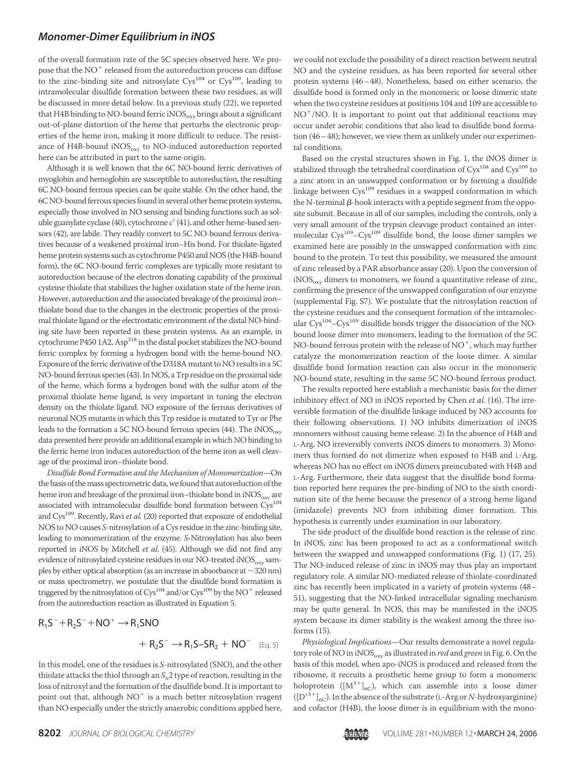## *Monomer-Dimer Equilibrium in iNOS*

of the overall formation rate of the 5C species observed here. We propose that the  $\text{NO}^+$  released from the autoreduction process can diffuse to the zinc-binding site and nitrosylate  $Cys^{104}$  or  $Cys^{109}$ , leading to intramolecular disulfide formation between these two residues, as will be discussed in more detail below. In a previous study (22), we reported that H4B binding to NO-bound ferric iNOS $_{\rm oxy}$  brings about a significant out-of-plane distortion of the heme that perturbs the electronic properties of the heme iron, making it more difficult to reduce. The resistance of H4B-bound  $iNOS_{oxy}$  to NO-induced autoreduction reported here can be attributed in part to the same origin.

Although it is well known that the 6C NO-bound ferric derivatives of myoglobin and hemoglobin are susceptible to autoreduction, the resulting 6C NO-bound ferrous species can be quite stable. On the other hand, the 6C NO-bound ferrous species found in several other heme protein systems, especially those involved in NO sensing and binding functions such as soluble guanylate cyclase (40), cytochrome  $c'$  (41), and other heme-based sensors (42), are labile. They readily convert to 5C NO-bound ferrous derivatives because of a weakened proximal iron–His bond. For thiolate-ligated heme protein systems such as cytochrome P450 and NOS (the H4B-bound form), the 6C NO-bound ferric complexes are typically more resistant to autoreduction because of the electron donating capability of the proximal cysteine thiolate that stabilizes the higher oxidation state of the heme iron. However, autoreduction and the associated breakage of the proximal iron– thiolate bond due to the changes in the electronic properties of the proximal thiolate ligand or the electrostatic environment of the distal NO-binding site have been reported in these protein systems. As an example, in cytochrome P450 1A2, Asp<sup>318</sup> in the distal pocket stabilizes the NO-bound ferric complex by forming a hydrogen bond with the heme-bound NO. Exposure of the ferric derivative of the D318A mutant to NO results in a 5C NO-bound ferrous species (43). In NOS, a Trp residue on the proximal side of the heme, which forms a hydrogen bond with the sulfur atom of the proximal thiolate heme ligand, is very important in tuning the electron density on the thiolate ligand. NO exposure of the ferrous derivatives of neuronal NOS mutants in which this Trp residue is mutated to Tyr or Phe leads to the formation a 5C NO-bound ferrous species (44). The  $iNOS<sub>oxv</sub>$ data presented here provide an additional example in which NO binding to the ferric heme iron induces autoreduction of the heme iron as well cleavage of the proximal iron–thiolate bond.

Disulfide Bond Formation and the Mechanism of Monomerization—On the basis of the mass spectrometric data, we found that autoreduction of the heme iron and breakage of the proximal iron–thiolate bond in  $iNOS<sub>oxv</sub>$  are associated with intramolecular disulfide bond formation between  $\rm{Cys^{104}}$ and Cys<sup>109</sup>. Recently, Ravi et al. (20) reported that exposure of endothelial NOS to NO causes S-nitrosylation of a Cys residue in the zinc-binding site, leading to monomerization of the enzyme. S-Nitrosylation has also been reported in iNOS by Mitchell et al. (45). Although we did not find any evidence of nitrosylated cysteine residues in our NO-treated  $iNOS<sub>oxv</sub>$  samples by either optical absorption (as an increase in absorbance at  $\sim$ 320 nm) or mass spectrometry, we postulate that the disulfide bond formation is triggered by the nitrosylation of Cys<sup>104</sup> and/or Cys<sup>109</sup> by the NO<sup>+</sup> released from the autoreduction reaction as illustrated in Equation 5.

$$
R_1S^- + R_2S^- + NO^+ \rightarrow R_1SNO
$$
  
+ 
$$
R_2S^- \rightarrow R_1S-SR_2 + NO^-
$$

In this model, one of the residues is S-nitrosylated (SNO), and the other thiolate attacks the thiol through an  $S_{\mathrm{n}}$ 2 type of reaction, resulting in the loss of nitroxyl and the formation of the disulfide bond. It is important to point out that, although NO $^{\mathrm{+}}$  is a much better nitrosylation reagent than NO especially under the strictly anaerobic conditions applied here, we could not exclude the possibility of a direct reaction between neutral NO and the cysteine residues, as has been reported for several other protein systems (46–48). Nonetheless, based on either scenario, the disulfide bond is formed only in the monomeric or loose dimeric state when the two cysteine residues at positions 104 and 109 are accessible to NO<sup>+</sup>/NO. It is important to point out that additional reactions may occur under aerobic conditions that also lead to disulfide bond formation (46–48); however, we view them as unlikely under our experimental conditions.

Based on the crystal structures shown in Fig. 1, the iNOS dimer is stabilized through the tetrahedral coordination of  $Cys^{104}$  and  $Cys^{109}$  to a zinc atom in an unswapped conformation or by forming a disulfide linkage between Cys<sup>109</sup> residues in a swapped conformation in which the N-terminal  $\beta$ -hook interacts with a peptide segment from the opposite subunit. Because in all of our samples, including the controls, only a very small amount of the trypsin cleavage product contained an intermolecular  $Cys^{109} - Cys^{109}$  disulfide bond, the loose dimer samples we examined here are possibly in the unswapped conformation with zinc bound to the protein. To test this possibility, we measured the amount of zinc released by a PAR absorbance assay (20). Upon the conversion of  $iNOS<sub>oxv</sub>$  dimers to monomers, we found a quantitative release of zinc, confirming the presence of the unswapped configuration of our enzyme (supplemental Fig. S7). We postulate that the nitrosylation reaction of the cysteine residues and the consequent formation of the intramolecular Cys<sup>104</sup>-Cys<sup>109</sup> disulfide bonds trigger the dissociation of the NObound loose dimer into monomers, leading to the formation of the 5C NO-bound ferrous protein with the release of  $NO^+$ , which may further catalyze the monomerization reaction of the loose dimer. A similar disulfide bond formation reaction can also occur in the monomeric NO-bound state, resulting in the same 5C NO-bound ferrous product.

The results reported here establish a mechanistic basis for the dimer inhibitory effect of NO in iNOS reported by Chen et al. (16). The irreversible formation of the disulfide linkage induced by NO accounts for their following observations. 1) NO inhibits dimerization of iNOS monomers without causing heme release. 2) In the absence of H4B and L-Arg, NO irreversibly converts iNOS dimers to monomers. 3) Monomers thus formed do not dimerize when exposed to H4B and L-Arg, whereas NO has no effect on iNOS dimers preincubated with H4B and L-Arg. Furthermore, their data suggest that the disulfide bond formation reported here requires the pre-binding of NO to the sixth coordination site of the heme because the presence of a strong heme ligand (imidazole) prevents NO from inhibiting dimer formation. This hypothesis is currently under examination in our laboratory.

The side product of the disulfide bond reaction is the release of zinc. In iNOS, zinc has been proposed to act as a conformational switch between the swapped and unswapped conformations (Fig. 1) (17, 25). The NO-induced release of zinc in iNOS may thus play an important regulatory role. A similar NO-mediated release of thiolate-coordinated zinc has recently been implicated in a variety of protein systems (48– 51), suggesting that the NO-linked intracellular signaling mechanism may be quite general. In NOS, this may be manifested in the iNOS system because its dimer stability is the weakest among the three isoforms (15).

Physiological Implications—Our results demonstrate a novel regulatory role of NO in iNOS $_{\text{oxv}}$  as illustrated in *red* and *green* in Fig. 6. On the basis of this model, when apo-iNOS is produced and released from the ribosome, it recruits a prosthetic heme group to form a monomeric holoprotein ( $[M^{3+}]_{6C}$ ), which can assemble into a loose dimer  $([D^{\prime^3+}]_{6C}).$  In the absence of the substrate (L-Arg or  $N$ -hydroxyarginine) and cofactor (H4B), the loose dimer is in equilibrium with the mono-



(Eq. 5)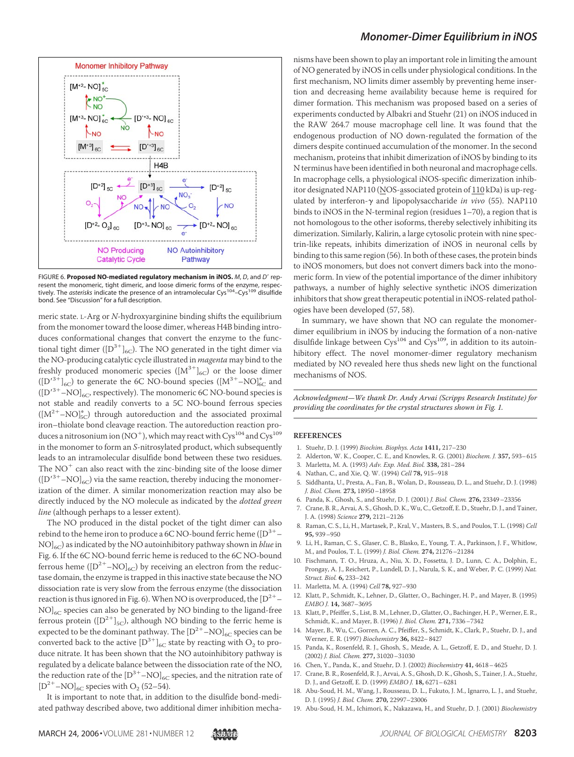

FIGURE 6. **Proposed NO-mediated regulatory mechanism in iNOS.** *M*, *D*, and *D* represent the monomeric, tight dimeric, and loose dimeric forms of the enzyme, respectively. The *asterisks* indicate the presence of an intramolecular Cys<sup>104</sup>–Cys<sup>109</sup> disulfide bond. See "Discussion" for a full description.

meric state. L-Arg or N-hydroxyarginine binding shifts the equilibrium from the monomer toward the loose dimer, whereas H4B binding introduces conformational changes that convert the enzyme to the functional tight dimer ( $[D^{3+}]_{6C}$ ). The NO generated in the tight dimer via the NO-producing catalytic cycle illustrated in *magenta* may bind to the freshly produced monomeric species  $([M^{3+}]_{6C})$  or the loose dimer  $([D'^{3+}]_{6C})$  to generate the 6C NO-bound species  $([M^{3+}-NO]_{6C}^{*}$  and  $([D<sup>3+</sup> - NO]_{6C}$ , respectively). The monomeric 6C NO-bound species is not stable and readily converts to a 5C NO-bound ferrous species  $([M^{2+}-NO]_{5C}^*$ ) through autoreduction and the associated proximal iron–thiolate bond cleavage reaction. The autoreduction reaction produces a nitrosonium ion (NO $^+$ ), which may react with Cys $^{104}$  and Cys $^{109}$ in the monomer to form an S-nitrosylated product, which subsequently leads to an intramolecular disulfide bond between these two residues. The  $NO<sup>+</sup>$  can also react with the zinc-binding site of the loose dimer  $\left(\left[\text{D}'^{3+}-\text{NO}\right]_{6\text{C}}\right)$  via the same reaction, thereby inducing the monomerization of the dimer. A similar monomerization reaction may also be directly induced by the NO molecule as indicated by the *dotted green* line (although perhaps to a lesser extent).

The NO produced in the distal pocket of the tight dimer can also rebind to the heme iron to produce a 6C NO-bound ferric heme ( $[D^{3+} NO<sub>16C</sub>$ ) as indicated by the NO autoinhibitory pathway shown in *blue* in Fig. 6. If the 6C NO-bound ferric heme is reduced to the 6C NO-bound ferrous heme  $([D^{2+}-NO]_{6C})$  by receiving an electron from the reductase domain, the enzyme is trapped in this inactive state because the NO dissociation rate is very slow from the ferrous enzyme (the dissociation reaction is thus ignored in Fig. 6). When NO is overproduced, the  ${\rm [D^{2+}-]}$  $NO$ <sub>6C</sub> species can also be generated by NO binding to the ligand-free ferrous protein ( $[D^{2+}]_{5C}$ ), although NO binding to the ferric heme is expected to be the dominant pathway. The  $\mathrm{[D^{2+}-NO]}_{6\mathrm{C}}$  species can be converted back to the active  $\left[\text{D}^{3+}\right]_{\text{6C}}$  state by reacting with  $\text{O}_2$  to produce nitrate. It has been shown that the NO autoinhibitory pathway is regulated by a delicate balance between the dissociation rate of the NO, the reduction rate of the  $\left[\mathrm{D}^{3+}-\mathrm{NO}\right]_{\mathrm{6C}}$  species, and the nitration rate of  $\left[\textrm{D}^{2+}-\textrm{NO}\right]_{\textrm{6C}}$  species with O<sub>2</sub> (52–54).

It is important to note that, in addition to the disulfide bond-mediated pathway described above, two additional dimer inhibition mecha-

## *Monomer-Dimer Equilibrium in iNOS*

nisms have been shown to play an important role in limiting the amount of NO generated by iNOS in cells under physiological conditions. In the first mechanism, NO limits dimer assembly by preventing heme insertion and decreasing heme availability because heme is required for dimer formation. This mechanism was proposed based on a series of experiments conducted by Albakri and Stuehr (21) on iNOS induced in the RAW 264.7 mouse macrophage cell line. It was found that the endogenous production of NO down-regulated the formation of the dimers despite continued accumulation of the monomer. In the second mechanism, proteins that inhibit dimerization of iNOS by binding to its N terminus have been identified in both neuronal and macrophage cells. In macrophage cells, a physiological iNOS-specific dimerization inhibitor designated NAP110 ( $\overline{\text{NOS}}$ -associated protein of  $110$  kDa) is up-regulated by interferon- $\gamma$  and lipopolysaccharide in vivo (55). NAP110 binds to iNOS in the N-terminal region (residues 1–70), a region that is not homologous to the other isoforms, thereby selectively inhibiting its dimerization. Similarly, Kalirin, a large cytosolic protein with nine spectrin-like repeats, inhibits dimerization of iNOS in neuronal cells by binding to this same region (56). In both of these cases, the protein binds to iNOS monomers, but does not convert dimers back into the monomeric form. In view of the potential importance of the dimer inhibitory pathways, a number of highly selective synthetic iNOS dimerization inhibitors that show great therapeutic potential in iNOS-related pathologies have been developed (57, 58).

In summary, we have shown that NO can regulate the monomerdimer equilibrium in iNOS by inducing the formation of a non-native disulfide linkage between  $\text{Cys}^{104}$  and  $\text{Cys}^{109}$ , in addition to its autoinhibitory effect. The novel monomer-dimer regulatory mechanism mediated by NO revealed here thus sheds new light on the functional mechanisms of NOS.

Acknowledgment—We thank Dr. Andy Arvai (Scripps Research Institute) for providing the coordinates for the crystal structures shown in Fig. 1.

#### **REFERENCES**

- 1. Stuehr, D. J. (1999) Biochim. Biophys. Acta **1411,** 217–230
- 2. Alderton, W. K., Cooper, C. E., and Knowles, R. G. (2001) Biochem. J. **357,** 593–615
- 3. Marletta, M. A. (1993) Adv. Exp. Med. Biol. **338,** 281–284
- 4. Nathan, C., and Xie, Q. W. (1994) Cell **78,** 915–918
- 5. Siddhanta, U., Presta, A., Fan, B., Wolan, D., Rousseau, D. L., and Stuehr, D. J. (1998) J. Biol. Chem. **273,** 18950–18958
- 6. Panda, K., Ghosh, S., and Stuehr, D. J. (2001) J. Biol. Chem. **276,** 23349–23356
- 7. Crane, B. R., Arvai, A. S., Ghosh, D. K., Wu, C., Getzoff, E. D., Stuehr, D. J., and Tainer, J. A. (1998) Science **279,** 2121–2126
- 8. Raman, C. S., Li, H., Martasek, P., Kral, V., Masters, B. S., and Poulos, T. L. (1998) Cell **95,** 939–950
- 9. Li, H., Raman, C. S., Glaser, C. B., Blasko, E., Young, T. A., Parkinson, J. F., Whitlow, M., and Poulos, T. L. (1999) J. Biol. Chem. **274,** 21276–21284
- 10. Fischmann, T. O., Hruza, A., Niu, X. D., Fossetta, J. D., Lunn, C. A., Dolphin, E., Prongay, A. J., Reichert, P., Lundell, D. J., Narula, S. K., and Weber, P. C. (1999) Nat. Struct. Biol. **6,** 233–242
- 11. Marletta, M. A. (1994) Cell **78,** 927–930
- 12. Klatt, P., Schmidt, K., Lehner, D., Glatter, O., Bachinger, H. P., and Mayer, B. (1995) EMBO J. **14,** 3687–3695
- 13. Klatt, P., Pfeiffer, S., List, B. M., Lehner, D., Glatter, O., Bachinger, H. P., Werner, E. R., Schmidt, K., and Mayer, B. (1996) J. Biol. Chem. **271,** 7336–7342
- 14. Mayer, B., Wu, C., Gorren, A. C., Pfeiffer, S., Schmidt, K., Clark, P., Stuehr, D. J., and Werner, E. R. (1997) Biochemistry **36,** 8422–8427
- 15. Panda, K., Rosenfeld, R. J., Ghosh, S., Meade, A. L., Getzoff, E. D., and Stuehr, D. J. (2002) J. Biol. Chem. **277,** 31020–31030
- 16. Chen, Y., Panda, K., and Stuehr, D. J. (2002) Biochemistry **41,** 4618–4625
- 17. Crane, B. R., Rosenfeld, R. J., Arvai, A. S., Ghosh, D. K., Ghosh, S., Tainer, J. A., Stuehr, D. J., and Getzoff, E. D. (1999) EMBO J. **18,** 6271–6281
- 18. Abu-Soud, H. M., Wang, J., Rousseau, D. L., Fukuto, J. M., Ignarro, L. J., and Stuehr, D. J. (1995) J. Biol. Chem. **270,** 22997–23006
- 19. Abu-Soud, H. M., Ichimori, K., Nakazawa, H., and Stuehr, D. J. (2001) Biochemistry